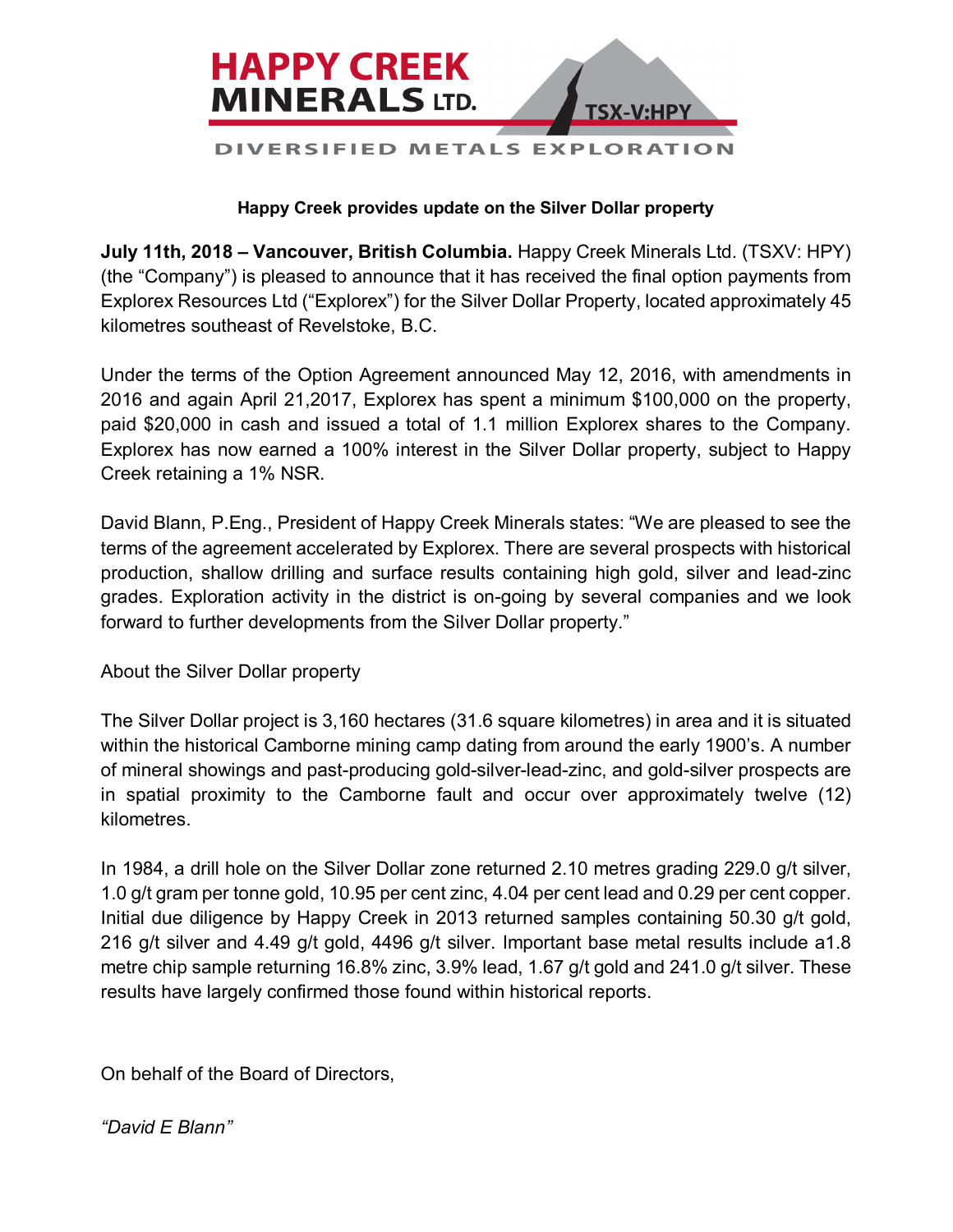

## **Happy Creek provides update on the Silver Dollar property**

**July 11th, 2018 – Vancouver, British Columbia.** Happy Creek Minerals Ltd. (TSXV: HPY) (the "Company") is pleased to announce that it has received the final option payments from Explorex Resources Ltd ("Explorex") for the Silver Dollar Property, located approximately 45 kilometres southeast of Revelstoke, B.C.

Under the terms of the Option Agreement announced May 12, 2016, with amendments in 2016 and again April 21,2017, Explorex has spent a minimum \$100,000 on the property, paid \$20,000 in cash and issued a total of 1.1 million Explorex shares to the Company. Explorex has now earned a 100% interest in the Silver Dollar property, subject to Happy Creek retaining a 1% NSR.

David Blann, P.Eng., President of Happy Creek Minerals states: "We are pleased to see the terms of the agreement accelerated by Explorex. There are several prospects with historical production, shallow drilling and surface results containing high gold, silver and lead-zinc grades. Exploration activity in the district is on-going by several companies and we look forward to further developments from the Silver Dollar property."

About the Silver Dollar property

The Silver Dollar project is 3,160 hectares (31.6 square kilometres) in area and it is situated within the historical Camborne mining camp dating from around the early 1900's. A number of mineral showings and past-producing gold-silver-lead-zinc, and gold-silver prospects are in spatial proximity to the Camborne fault and occur over approximately twelve (12) kilometres.

In 1984, a drill hole on the Silver Dollar zone returned 2.10 metres grading 229.0 g/t silver, 1.0 g/t gram per tonne gold, 10.95 per cent zinc, 4.04 per cent lead and 0.29 per cent copper. Initial due diligence by Happy Creek in 2013 returned samples containing 50.30 g/t gold, 216 g/t silver and 4.49 g/t gold, 4496 g/t silver. Important base metal results include a1.8 metre chip sample returning 16.8% zinc, 3.9% lead, 1.67 g/t gold and 241.0 g/t silver. These results have largely confirmed those found within historical reports.

On behalf of the Board of Directors,

*"David E Blann"*